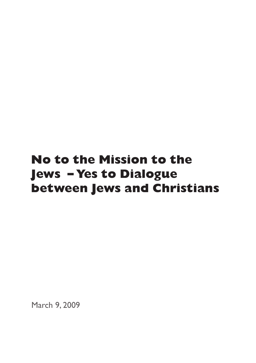# **No to the Mission to the Jews – Yes to Dialogue between Jews and Christians**

March 9, 2009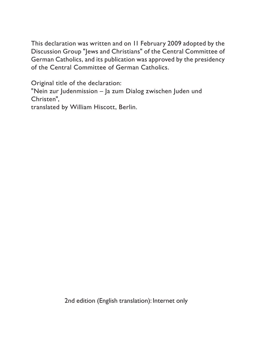This declaration was written and on 11 February 2009 adopted by the Discussion Group "Jews and Christians" of the Central Committee of German Catholics, and its publication was approved by the presidency of the Central Committee of German Catholics.

Original title of the declaration:

"Nein zur Judenmission – Ja zum Dialog zwischen Juden und Christen",

translated by William Hiscott, Berlin.

2nd edition (English translation): Internet only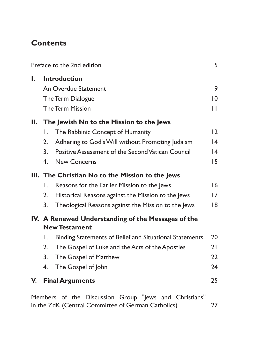# **Contents**

|    |                                                                            | Preface to the 2nd edition                                                                                                                                                                                   | 5                     |
|----|----------------------------------------------------------------------------|--------------------------------------------------------------------------------------------------------------------------------------------------------------------------------------------------------------|-----------------------|
| ı. |                                                                            | <b>Introduction</b><br>An Overdue Statement<br>The Term Dialogue<br>The Term Mission                                                                                                                         | 9<br>$ 0\rangle$<br>П |
|    |                                                                            |                                                                                                                                                                                                              |                       |
| Н. | I.<br>2.<br>$\overline{3}$ .<br>4 <sub>1</sub>                             | The Jewish No to the Mission to the Jews<br>The Rabbinic Concept of Humanity<br>Adhering to God's Will without Promoting Judaism<br>Positive Assessment of the Second Vatican Council<br><b>New Concerns</b> | 12<br> 4<br> 4<br>15  |
|    |                                                                            |                                                                                                                                                                                                              |                       |
|    | Ι.                                                                         | III. The Christian No to the Mission to the Jews<br>Reasons for the Earlier Mission to the Jews                                                                                                              | 6                     |
|    | 2.                                                                         | Historical Reasons against the Mission to the Jews                                                                                                                                                           | 7                     |
|    | 3.                                                                         | Theological Reasons against the Mission to the Jews                                                                                                                                                          | 18                    |
|    | IV. A Renewed Understanding of the Messages of the<br><b>New Testament</b> |                                                                                                                                                                                                              |                       |
|    | I.                                                                         | Binding Statements of Belief and Situational Statements                                                                                                                                                      | 20                    |
|    | 2.                                                                         | The Gospel of Luke and the Acts of the Apostles                                                                                                                                                              | 21                    |
|    | 3.                                                                         | The Gospel of Matthew                                                                                                                                                                                        | 22                    |
|    | 4.                                                                         | The Gospel of John                                                                                                                                                                                           | 24                    |
| V. |                                                                            | <b>Final Arguments</b>                                                                                                                                                                                       | 25                    |
|    |                                                                            | Members of the Discussion Group "Jews and Christians"<br>in the ZdK (Central Committee of German Catholics)                                                                                                  | 27                    |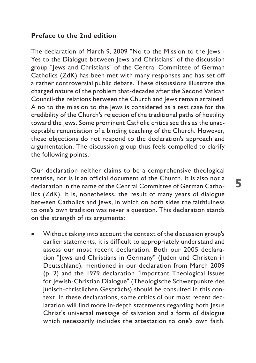#### <span id="page-4-0"></span>**Preface to the 2nd edition**

The declaration of March 9, 2009 "No to the Mission to the Jews - Yes to the Dialogue between Jews and Christians" of the discussion group "Jews and Christians" of the Central Committee of German Catholics (ZdK) has been met with many responses and has set off a rather controversial public debate. These discussions illustrate the charged nature of the problem that-decades after the Second Vatican Council-the relations between the Church and Jews remain strained. A no to the mission to the Jews is considered as a test case for the credibility of the Church's rejection of the traditional paths of hostility toward the Jews. Some prominent Catholic critics see this as the unacceptable renunciation of a binding teaching of the Church. However, these objections do not respond to the declaration's approach and argumentation. The discussion group thus feels compelled to clarify the following points.

Our declaration neither claims to be a comprehensive theological treatise, nor is it an official document of the Church. It is also not a declaration in the name of the Central Committee of German Catholics (ZdK). It is, nonetheless, the result of many years of dialogue between Catholics and Jews, in which on both sides the faithfulness to one's own tradition was never a question. This declaration stands on the strength of its arguments:

Without taking into account the context of the discussion group's earlier statements, it is difficult to appropriately understand and assess our most recent declaration. Both our 2005 declaration "Jews and Christians in Germany" (Juden und Christen in Deutschland), mentioned in our declaration from March 2009 (p. 2) and the 1979 declaration "Important Theological Issues for Jewish-Christian Dialogue" (Theologische Schwerpunkte des jüdisch-christlichen Gesprächs) should be consulted in this context. In these declarations, some critics of our most recent declaration will find more in-depth statements regarding both Jesus Christ's universal message of salvation and a form of dialogue which necessarily includes the attestation to one's own faith.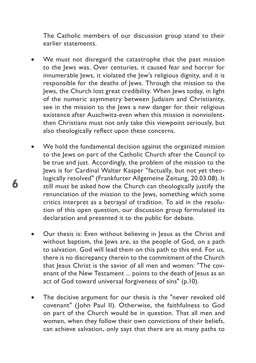The Catholic members of our discussion group stand to their earlier statements.

- We must not disregard the catastrophe that the past mission to the Jews was. Over centuries, it caused fear and horror for innumerable Jews, it violated the Jew's religious dignity, and it is responsible for the deaths of Jews. Through the mission to the Jews, the Church lost great credibility. When Jews today, in light of the numeric asymmetry between Judaism and Christianity, see in the mission to the Jews a new danger for their religious existence after Auschwitz-even when this mission is nonviolentthen Christians must not only take this viewpoint seriously, but also theologically reflect upon these concerns.
- We hold the fundamental decision against the organized mission to the Jews on part of the Catholic Church after the Council to be true and just. Accordingly, the problem of the mission to the Jews is for Cardinal Walter Kasper "factually, but not yet theologically resolved" (Frankfurter Allgemeine Zeitung, 20.03.08). It still must be asked how the Church can theologically justify the renunciation of the mission to the Jews, something which some critics interpret as a betrayal of tradition. To aid in the resolution of this open question, our discussion group formulated its declaration and presented it to the public for debate.

- Our thesis is: Even without believing in Jesus as the Christ and without baptism, the Jews are, as the people of God, on a path to salvation. God will lead them on this path to this end. For us, there is no discrepancy therein to the commitment of the Church that Jesus Christ is the savior of all men and women: "The covenant of the New Testament ... points to the death of Jesus as an act of God toward universal forgiveness of sins" (p.10).
- The decisive argument for our thesis is the "never revoked old covenant" (John Paul II). Otherwise, the faithfulness to God on part of the Church would be in question. That all men and women, when they follow their own convictions of their beliefs, can achieve salvation, only says that there are as many paths to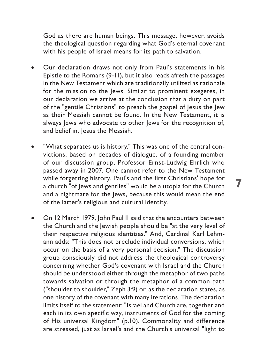God as there are human beings. This message, however, avoids the theological question regarding what God's eternal covenant with his people of Israel means for its path to salvation.

- Our declaration draws not only from Paul's statements in his Epistle to the Romans (9-11), but it also reads afresh the passages in the New Testament which are traditionally utilized as rationale for the mission to the Jews. Similar to prominent exegetes, in our declaration we arrive at the conclusion that a duty on part of the "gentile Christians" to preach the gospel of Jesus the Jew as their Messiah cannot be found. In the New Testament, it is always lews who advocate to other lews for the recognition of, and belief in, Jesus the Messiah.
- "What separates us is history." This was one of the central convictions, based on decades of dialogue, of a founding member of our discussion group, Professor Ernst-Ludwig Ehrlich who passed away in 2007. One cannot refer to the New Testament while forgetting history. Paul's and the first Christians' hope for a church "of Jews and gentiles" would be a utopia for the Church and a nightmare for the Jews, because this would mean the end of the latter's religious and cultural identity.

**7**

On 12 March 1979, John Paul II said that the encounters between the Church and the Jewish people should be "at the very level of their respective religious identities." And, Cardinal Karl Lehmann adds: "This does not preclude individual conversions, which occur on the basis of a very personal decision." The discussion group consciously did not address the theological controversy concerning whether God's covenant with Israel and the Church should be understood either through the metaphor of two paths towards salvation or through the metaphor of a common path ("shoulder to shoulder," Zeph 3:9) or, as the declaration states, as one history of the covenant with many iterations. The declaration limits itself to the statement: "Israel and Church are, together and each in its own specific way, instruments of God for the coming of His universal Kingdom" (p.10). Commonality and difference are stressed, just as Israel's and the Church's universal "light to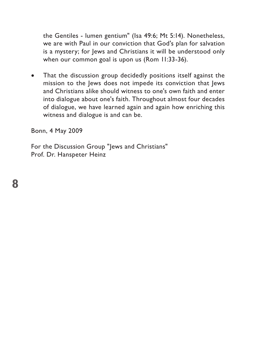the Gentiles - lumen gentium" (Isa 49:6; Mt 5:14). Nonetheless, we are with Paul in our conviction that God's plan for salvation is a mystery; for Jews and Christians it will be understood only when our common goal is upon us (Rom 11:33-36).

• That the discussion group decidedly positions itself against the mission to the Jews does not impede its conviction that Jews and Christians alike should witness to one's own faith and enter into dialogue about one's faith. Throughout almost four decades of dialogue, we have learned again and again how enriching this witness and dialogue is and can be.

Bonn, 4 May 2009

For the Discussion Group "Jews and Christians" Prof. Dr. Hanspeter Heinz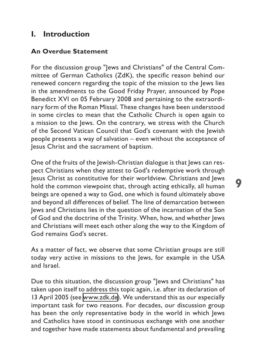# <span id="page-8-0"></span>**I. Introduction**

#### **An Overdue Statement**

For the discussion group "Jews and Christians" of the Central Committee of German Catholics (ZdK), the specific reason behind our renewed concern regarding the topic of the mission to the Jews lies in the amendments to the Good Friday Prayer, announced by Pope Benedict XVI on 05 February 2008 and pertaining to the extraordinary form of the Roman Missal. These changes have been understood in some circles to mean that the Catholic Church is open again to a mission to the Jews. On the contrary, we stress with the Church of the Second Vatican Council that God's covenant with the Jewish people presents a way of salvation – even without the acceptance of Jesus Christ and the sacrament of baptism.

One of the fruits of the Jewish-Christian dialogue is that Jews can respect Christians when they attest to God's redemptive work through Jesus Christ as constitutive for their worldview. Christians and Jews hold the common viewpoint that, through acting ethically, all human beings are opened a way to God, one which is found ultimately above and beyond all differences of belief. The line of demarcation between Jews and Christians lies in the question of the incarnation of the Son of God and the doctrine of the Trinity. When, how, and whether Jews and Christians will meet each other along the way to the Kingdom of God remains God's secret.

As a matter of fact, we observe that some Christian groups are still today very active in missions to the Jews, for example in the USA and Israel.

Due to this situation, the discussion group "Jews and Christians" has taken upon itself to address this topic again, i.e. after its declaration of 13 April 2005 (see [www.zdk.de\)](http://www.zdk.de). We understand this as our especially important task for two reasons. For decades, our discussion group has been the only representative body in the world in which Jews and Catholics have stood in continuous exchange with one another and together have made statements about fundamental and prevailing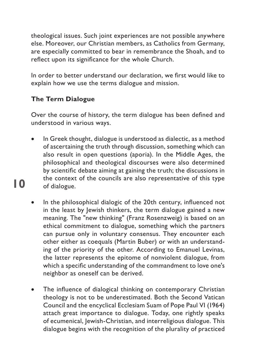<span id="page-9-0"></span>theological issues. Such joint experiences are not possible anywhere else. Moreover, our Christian members, as Catholics from Germany, are especially committed to bear in remembrance the Shoah, and to reflect upon its significance for the whole Church.

In order to better understand our declaration, we first would like to explain how we use the terms dialogue and mission.

## **The Term Dialogue**

**10**

Over the course of history, the term dialogue has been defined and understood in various ways.

- In Greek thought, dialogue is understood as dialectic, as a method of ascertaining the truth through discussion, something which can also result in open questions (aporia). In the Middle Ages, the philosophical and theological discourses were also determined by scientific debate aiming at gaining the truth; the discussions in the context of the councils are also representative of this type of dialogue.
- In the philosophical dialogic of the 20th century, influenced not in the least by Jewish thinkers, the term dialogue gained a new meaning. The "new thinking" (Franz Rosenzweig) is based on an ethical commitment to dialogue, something which the partners can pursue only in voluntary consensus. They encounter each other either as coequals (Martin Buber) or with an understanding of the priority of the other. According to Emanuel Levinas, the latter represents the epitome of nonviolent dialogue, from which a specific understanding of the commandment to love one's neighbor as oneself can be derived.
- The influence of dialogical thinking on contemporary Christian theology is not to be underestimated. Both the Second Vatican Council and the encyclical Ecclesiam Suam of Pope Paul VI (1964) attach great importance to dialogue. Today, one rightly speaks of ecumenical, Jewish-Christian, and interreligious dialogue. This dialogue begins with the recognition of the plurality of practiced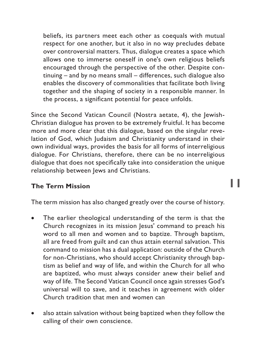<span id="page-10-0"></span>beliefs, its partners meet each other as coequals with mutual respect for one another, but it also in no way precludes debate over controversial matters. Thus, dialogue creates a space which allows one to immerse oneself in one's own religious beliefs encouraged through the perspective of the other. Despite continuing – and by no means small – differences, such dialogue also enables the discovery of commonalities that facilitate both living together and the shaping of society in a responsible manner. In the process, a significant potential for peace unfolds.

Since the Second Vatican Council (Nostra aetate, 4), the Jewish-Christian dialogue has proven to be extremely fruitful. It has become more and more clear that this dialogue, based on the singular revelation of God, which Judaism and Christianity understand in their own individual ways, provides the basis for all forms of interreligious dialogue. For Christians, therefore, there can be no interreligious dialogue that does not specifically take into consideration the unique relationship between Jews and Christians.

#### **The Term Mission**

The term mission has also changed greatly over the course of history.

- The earlier theological understanding of the term is that the Church recognizes in its mission Jesus' command to preach his word to all men and women and to baptize. Through baptism, all are freed from guilt and can thus attain eternal salvation. This command to mission has a dual application: outside of the Church for non-Christians, who should accept Christianity through baptism as belief and way of life, and within the Church for all who are baptized, who must always consider anew their belief and way of life. The Second Vatican Council once again stresses God's universal will to save, and it teaches in agreement with older Church tradition that men and women can
- also attain salvation without being baptized when they follow the calling of their own conscience.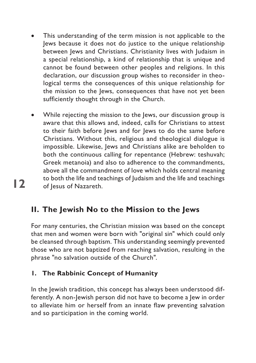- <span id="page-11-0"></span>This understanding of the term mission is not applicable to the Jews because it does not do justice to the unique relationship between Jews and Christians. Christianity lives with Judaism in a special relationship, a kind of relationship that is unique and cannot be found between other peoples and religions. In this declaration, our discussion group wishes to reconsider in theological terms the consequences of this unique relationship for the mission to the Jews, consequences that have not yet been sufficiently thought through in the Church.
- While rejecting the mission to the Jews, our discussion group is aware that this allows and, indeed, calls for Christians to attest to their faith before Jews and for Jews to do the same before Christians. Without this, religious and theological dialogue is impossible. Likewise, Jews and Christians alike are beholden to both the continuous calling for repentance (Hebrew: teshuvah; Greek metanoia) and also to adherence to the commandments, above all the commandment of love which holds central meaning to both the life and teachings of Judaism and the life and teachings of Jesus of Nazareth.

# **II. The Jewish No to the Mission to the Jews**

For many centuries, the Christian mission was based on the concept that men and women were born with "original sin" which could only be cleansed through baptism. This understanding seemingly prevented those who are not baptized from reaching salvation, resulting in the phrase "no salvation outside of the Church".

## **1. The Rabbinic Concept of Humanity**

**12**

In the Jewish tradition, this concept has always been understood differently. A non-Jewish person did not have to become a Jew in order to alleviate him or herself from an innate flaw preventing salvation and so participation in the coming world.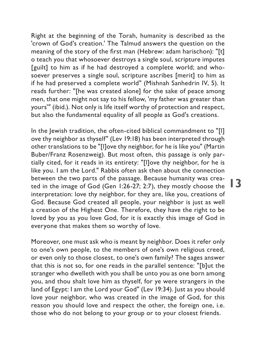Right at the beginning of the Torah, humanity is described as the 'crown of God's creation.' The Talmud answers the question on the meaning of the story of the first man (Hebrew: adam harischon): "[t] o teach you that whosoever destroys a single soul, scripture imputes [guilt] to him as if he had destroyed a complete world; and whosoever preserves a single soul, scripture ascribes [merit] to him as if he had preserved a complete world" (Mishnah Sanhedrin IV, 5). It reads further: "[he was created alone] for the sake of peace among men, that one might not say to his fellow, 'my father was greater than yours'" (ibid.). Not only is life itself worthy of protection and respect, but also the fundamental equality of all people as God's creations.

In the lewish tradition, the often-cited biblical commandment to "[I] ove thy neighbor as thyself" (Lev 19:18) has been interpreted through other translations to be "[l]ove thy neighbor, for he is like you" (Martin Buber/Franz Rosenzweig). But most often, this passage is only partially cited, for it reads in its entirety: "[l]ove thy neighbor, for he is like you. I am the Lord." Rabbis often ask then about the connection between the two parts of the passage. Because humanity was created in the image of God (Gen 1:26-27; 2:7), they mostly choose the interpretation: love thy neighbor, for they are, like you, creations of God. Because God created all people, your neighbor is just as well a creation of the Highest One. Therefore, they have the right to be loved by you as you love God, for it is exactly this image of God in everyone that makes them so worthy of love.

Moreover, one must ask who is meant by neighbor. Does it refer only to one's own people, to the members of one's own religious creed, or even only to those closest, to one's own family? The sages answer that this is not so, for one reads in the parallel sentence: "[b]ut the stranger who dwelleth with you shall be unto you as one born among you, and thou shalt love him as thyself, for ye were strangers in the land of Egypt: I am the Lord your God" (Lev 19:34). Just as you should love your neighbor, who was created in the image of God, for this reason you should love and respect the other, the foreign one, i.e. those who do not belong to your group or to your closest friends.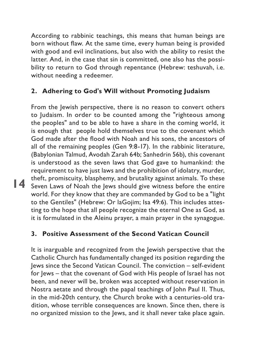<span id="page-13-0"></span>According to rabbinic teachings, this means that human beings are born without flaw. At the same time, every human being is provided with good and evil inclinations, but also with the ability to resist the latter. And, in the case that sin is committed, one also has the possibility to return to God through repentance (Hebrew: teshuvah, i.e. without needing a redeemer.

## **2. Adhering to God's Will without Promoting Judaism**

**14** Seven Laws of Noah the Jews should give witness before the entire From the Jewish perspective, there is no reason to convert others to Judaism. In order to be counted among the "righteous among the peoples" and to be able to have a share in the coming world, it is enough that people hold themselves true to the covenant which God made after the flood with Noah and his sons, the ancestors of all of the remaining peoples (Gen 9:8-17). In the rabbinic literature, (Babylonian Talmud, Avodah Zarah 64b; Sanhedrin 56b), this covenant is understood as the seven laws that God gave to humankind: the requirement to have just laws and the prohibition of idolatry, murder, theft, promiscuity, blasphemy, and brutality against animals. To these world. For they know that they are commanded by God to be a "light to the Gentiles" (Hebrew: Or laGojim; Isa 49:6). This includes attesting to the hope that all people recognize the eternal One as God, as it is formulated in the Aleinu prayer, a main prayer in the synagogue.

#### **3. Positive Assessment of the Second Vatican Council**

It is inarguable and recognized from the Jewish perspective that the Catholic Church has fundamentally changed its position regarding the Jews since the Second Vatican Council. The conviction – self-evident for Jews – that the covenant of God with His people of Israel has not been, and never will be, broken was accepted without reservation in Nostra aetate and through the papal teachings of John Paul II. Thus, in the mid-20th century, the Church broke with a centuries-old tradition, whose terrible consequences are known. Since then, there is no organized mission to the Jews, and it shall never take place again.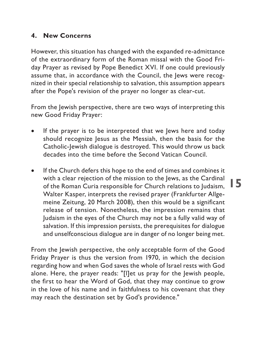#### <span id="page-14-0"></span>**4. New Concerns**

However, this situation has changed with the expanded re-admittance of the extraordinary form of the Roman missal with the Good Friday Prayer as revised by Pope Benedict XVI. If one could previously assume that, in accordance with the Council, the Jews were recognized in their special relationship to salvation, this assumption appears after the Pope's revision of the prayer no longer as clear-cut.

From the Jewish perspective, there are two ways of interpreting this new Good Friday Prayer:

- If the prayer is to be interpreted that we lews here and today should recognize Jesus as the Messiah, then the basis for the Catholic-Jewish dialogue is destroyed. This would throw us back decades into the time before the Second Vatican Council.
- If the Church defers this hope to the end of times and combines it with a clear rejection of the mission to the Jews, as the Cardinal of the Roman Curia responsible for Church relations to Judaism, Walter Kasper, interprets the revised prayer (Frankfurter Allgemeine Zeitung, 20 March 2008), then this would be a significant release of tension. Nonetheless, the impression remains that Judaism in the eyes of the Church may not be a fully valid way of salvation. If this impression persists, the prerequisites for dialogue and unselfconscious dialogue are in danger of no longer being met.

From the Jewish perspective, the only acceptable form of the Good Friday Prayer is thus the version from 1970, in which the decision regarding how and when God saves the whole of Israel rests with God alone. Here, the prayer reads: "[l]et us pray for the Jewish people, the first to hear the Word of God, that they may continue to grow in the love of his name and in faithfulness to his covenant that they may reach the destination set by God's providence."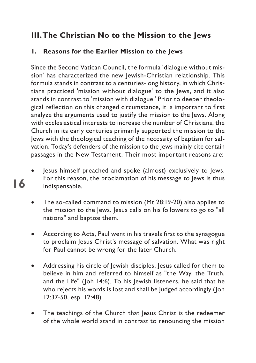# <span id="page-15-0"></span>**III.The Christian No to the Mission to the Jews**

## **1. Reasons for the Earlier Mission to the Jews**

Since the Second Vatican Council, the formula 'dialogue without mission' has characterized the new Jewish-Christian relationship. This formula stands in contrast to a centuries-long history, in which Christians practiced 'mission without dialogue' to the Jews, and it also stands in contrast to 'mission with dialogue.' Prior to deeper theological reflection on this changed circumstance, it is important to first analyze the arguments used to justify the mission to the Jews. Along with ecclesiastical interests to increase the number of Christians, the Church in its early centuries primarily supported the mission to the Jews with the theological teaching of the necessity of baptism for salvation. Today's defenders of the mission to the Jews mainly cite certain passages in the New Testament. Their most important reasons are:

Jesus himself preached and spoke (almost) exclusively to Jews. For this reason, the proclamation of his message to Jews is thus indispensable.

- The so-called command to mission (Mt 28:19-20) also applies to the mission to the Jews. Jesus calls on his followers to go to "all nations" and baptize them.
- According to Acts, Paul went in his travels first to the synagogue to proclaim Jesus Christ's message of salvation. What was right for Paul cannot be wrong for the later Church.
- Addressing his circle of Jewish disciples, Jesus called for them to believe in him and referred to himself as "the Way, the Truth, and the Life" (Joh 14:6). To his Jewish listeners, he said that he who rejects his words is lost and shall be judged accordingly (Joh 12:37-50, esp. 12:48).
- The teachings of the Church that Jesus Christ is the redeemer of the whole world stand in contrast to renouncing the mission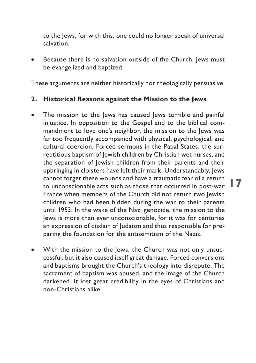<span id="page-16-0"></span>to the Jews, for with this, one could no longer speak of universal salvation.

Because there is no salvation outside of the Church, Jews must be evangelized and baptized.

These arguments are neither historically nor theologically persuasive.

#### **2. Historical Reasons against the Mission to the Jews**

- cannot forget these wounds and have a traumatic fear of a return  $\blacksquare$ The mission to the Jews has caused Jews terrible and painful injustice. In opposition to the Gospel and to the biblical commandment to love one's neighbor, the mission to the Jews was far too frequently accompanied with physical, psychological, and cultural coercion. Forced sermons in the Papal States, the surreptitious baptism of Jewish children by Christian wet nurses, and the separation of Jewish children from their parents and their upbringing in cloisters have left their mark. Understandably, Jews cannot forget these wounds and have a traumatic fear of a return France when members of the Church did not return two Jewish children who had been hidden during the war to their parents until 1953. In the wake of the Nazi genocide, the mission to the Jews is more than ever unconscionable, for it was for centuries an expression of disdain of Judaism and thus responsible for preparing the foundation for the antisemitism of the Nazis.
- With the mission to the Jews, the Church was not only unsuccessful, but it also caused itself great damage. Forced conversions and baptisms brought the Church's theology into disrepute. The sacrament of baptism was abused, and the image of the Church darkened. It lost great credibility in the eyes of Christians and non-Christians alike.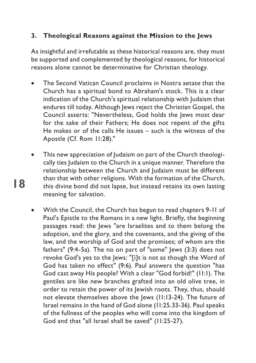## <span id="page-17-0"></span>**3. Theological Reasons against the Mission to the Jews**

As insightful and irrefutable as these historical reasons are, they must be supported and complemented by theological reasons, for historical reasons alone cannot be determinative for Christian theology.

- The Second Vatican Council proclaims in Nostra aetate that the Church has a spiritual bond to Abraham's stock. This is a clear indication of the Church's spiritual relationship with Judaism that endures till today. Although Jews reject the Christian Gospel, the Council asserts: "Nevertheless, God holds the Jews most dear for the sake of their Fathers; He does not repent of the gifts He makes or of the calls He issues – such is the witness of the Apostle (Cf. Rom 11:28)."
- This new appreciation of Judaism on part of the Church theologically ties Judaism to the Church in a unique manner. Therefore the relationship between the Church and Judaism must be different than that with other religions. With the formation of the Church, this divine bond did not lapse, but instead retains its own lasting meaning for salvation.

**18**

With the Council, the Church has begun to read chapters 9-11 of Paul's Epistle to the Romans in a new light. Briefly, the beginning passages read: the Jews "are Israelites and to them belong the adoption, and the glory, and the covenants, and the giving of the law, and the worship of God and the promises; of whom are the fathers"  $(9:4-5a)$ . The no on part of "some" Jews  $(3:3)$  does not revoke God's yes to the Jews: "[i]t is not as though the Word of God has taken no effect" (9:6). Paul answers the question "has God cast away His people? With a clear "God forbid!" (11:1). The gentiles are like new branches grafted into an old olive tree, in order to retain the power of its Jewish roots. They, thus, should not elevate themselves above the Jews (11:13-24). The future of Israel remains in the hand of God alone (11:25.33-36). Paul speaks of the fullness of the peoples who will come into the kingdom of God and that "all Israel shall be saved" (11:25-27).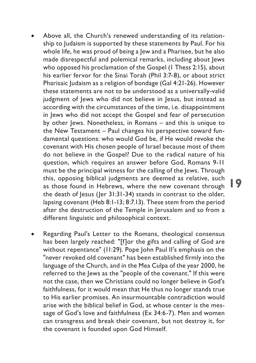Above all, the Church's renewed understanding of its relationship to Judaism is supported by these statements by Paul. For his whole life, he was proud of being a Jew and a Pharisee, but he also made disrespectful and polemical remarks, including about Jews who opposed his proclamation of the Gospel (1 Thess 2:15), about his earlier fervor for the Sinai Torah (Phil 3:7-8), or about strict Pharisaic Judaism as a religion of bondage (Gal 4:21-26). However these statements are not to be understood as a universally-valid judgment of lews who did not believe in lesus, but instead as according with the circumstances of the time, i.e. disappointment in Jews who did not accept the Gospel and fear of persecution by other lews. Nonetheless, in Romans – and this is unique to the New Testament – Paul changes his perspective toward fundamental questions: who would God be, if He would revoke the covenant with His chosen people of Israel because most of them do not believe in the Gospel? Due to the radical nature of his question, which requires an answer before God, Romans 9-11 must be the principal witness for the calling of the Jews. Through this, opposing biblical judgments are deemed as relative, such as those found in Hebrews, where the new covenant through the death of Jesus (Jer 31:31-34) stands in contrast to the older, lapsing covenant (Heb 8:1-13; 8:7.13). These stem from the period after the destruction of the Temple in Jerusalem and so from a different linguistic and philosophical context.

**19**

Regarding Paul's Letter to the Romans, theological consensus has been largely reached: "[f]or the gifts and calling of God are without repentance" (11:29). Pope John Paul II's emphasis on the "never revoked old covenant" has been established firmly into the language of the Church, and in the Mea Culpa of the year 2000, he referred to the Jews as the "people of the covenant." If this were not the case, then we Christians could no longer believe in God's faithfulness, for it would mean that He thus no longer stands true to His earlier promises. An insurmountable contradiction would arise with the biblical belief in God, at whose center is the message of God's love and faithfulness (Ex 34:6-7). Men and women can transgress and break their covenant, but not destroy it, for the covenant is founded upon God Himself.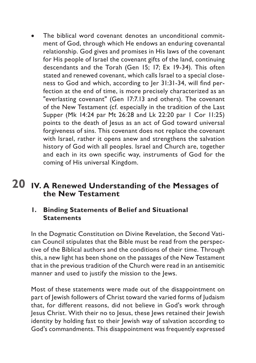<span id="page-19-0"></span>The biblical word covenant denotes an unconditional commitment of God, through which He endows an enduring covenantal relationship. God gives and promises in His laws of the covenant for His people of Israel the covenant gifts of the land, continuing descendants and the Torah (Gen 15; 17; Ex 19-34). This often stated and renewed covenant, which calls Israel to a special closeness to God and which, according to Jer 31:31-34, will find perfection at the end of time, is more precisely characterized as an "everlasting covenant" (Gen 17:7.13 and others). The covenant of the New Testament (cf. especially in the tradition of the Last Supper (Mk 14:24 par Mt 26:28 and Lk 22:20 par 1 Cor 11:25) points to the death of lesus as an act of God toward universal forgiveness of sins. This covenant does not replace the covenant with Israel, rather it opens anew and strengthens the salvation history of God with all peoples. Israel and Church are, together and each in its own specific way, instruments of God for the coming of His universal Kingdom.

# **20 IV. A Renewed Understanding of the Messages of the New Testament**

#### **1. Binding Statements of Belief and Situational Statements**

In the Dogmatic Constitution on Divine Revelation, the Second Vatican Council stipulates that the Bible must be read from the perspective of the Biblical authors and the conditions of their time. Through this, a new light has been shone on the passages of the New Testament that in the previous tradition of the Church were read in an antisemitic manner and used to justify the mission to the Jews.

Most of these statements were made out of the disappointment on part of Jewish followers of Christ toward the varied forms of Judaism that, for different reasons, did not believe in God's work through Jesus Christ. With their no to Jesus, these Jews retained their Jewish identity by holding fast to their Jewish way of salvation according to God's commandments. This disappointment was frequently expressed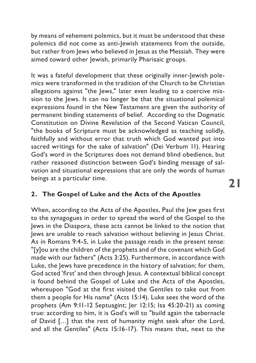<span id="page-20-0"></span>by means of vehement polemics, but it must be understood that these polemics did not come as anti-Jewish statements from the outside, but rather from Jews who believed in Jesus as the Messiah. They were aimed toward other Jewish, primarily Pharisaic groups.

It was a fateful development that these originally inner-Jewish polemics were transformed in the tradition of the Church to be Christian allegations against "the Jews," later even leading to a coercive mission to the Jews. It can no longer be that the situational polemical expressions found in the New Testament are given the authority of permanent binding statements of belief. According to the Dogmatic Constitution on Divine Revelation of the Second Vatican Council, "the books of Scripture must be acknowledged as teaching solidly, faithfully and without error that truth which God wanted put into sacred writings for the sake of salvation" (Dei Verbum 11). Hearing God's word in the Scriptures does not demand blind obedience, but rather reasoned distinction between God's binding message of salvation and situational expressions that are only the words of human beings at a particular time.

#### **2. The Gospel of Luke and the Acts of the Apostles**

When, according to the Acts of the Apostles, Paul the Jew goes first to the synagogues in order to spread the word of the Gospel to the Jews in the Diaspora, these acts cannot be linked to the notion that Jews are unable to reach salvation without believing in Jesus Christ. As in Romans 9:4-5, in Luke the passage reads in the present tense: "[y]ou are the children of the prophets and of the covenant which God made with our fathers" (Acts 3:25). Furthermore, in accordance with Luke, the Jews have precedence in the history of salvation; for them, God acted 'first' and then through Jesus. A contextual biblical concept is found behind the Gospel of Luke and the Acts of the Apostles, whereupon "God at the first visited the Gentiles to take out from them a people for His name" (Acts 15:14). Luke sees the word of the prophets (Am 9:11-12 Septuagint; Jer 12:15; Isa 45:20-21) as coming true: according to him, it is God's will to "build again the tabernacle of David […] that the rest of humanity might seek after the Lord, and all the Gentiles" (Acts 15:16-17). This means that, next to the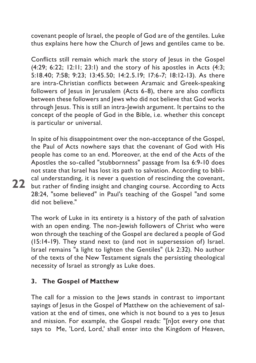<span id="page-21-0"></span>covenant people of Israel, the people of God are of the gentiles. Luke thus explains here how the Church of Jews and gentiles came to be.

Conflicts still remain which mark the story of Jesus in the Gospel (4:29; 6:22; 12:11; 23:1) and the story of his apostles in Acts (4:3; 5:18.40; 7:58; 9:23; 13:45.50; 14:2.5.19; 17:6-7; 18:12-13). As there are intra-Christian conflicts between Aramaic and Greek-speaking followers of Jesus in Jerusalem (Acts 6-8), there are also conflicts between these followers and Jews who did not believe that God works through Jesus. This is still an intra-Jewish argument. It pertains to the concept of the people of God in the Bible, i.e. whether this concept is particular or universal.

**22** but rather of finding insight and changing course. According to Acts In spite of his disappointment over the non-acceptance of the Gospel, the Paul of Acts nowhere says that the covenant of God with His people has come to an end. Moreover, at the end of the Acts of the Apostles the so-called "stubbornness" passage from Isa 6:9-10 does not state that Israel has lost its path to salvation. According to biblical understanding, it is never a question of rescinding the covenant, 28:24, "some believed" in Paul's teaching of the Gospel "and some did not believe."

The work of Luke in its entirety is a history of the path of salvation with an open ending. The non-Jewish followers of Christ who were won through the teaching of the Gospel are declared a people of God (15:14-19). They stand next to (and not in supersession of) Israel. Israel remains "a light to lighten the Gentiles" (Lk 2:32). No author of the texts of the New Testament signals the persisting theological necessity of Israel as strongly as Luke does.

#### **3. The Gospel of Matthew**

The call for a mission to the Jews stands in contrast to important sayings of Jesus in the Gospel of Matthew on the achievement of salvation at the end of times, one which is not bound to a yes to Jesus and mission. For example, the Gospel reads: "[n]ot every one that says to Me, 'Lord, Lord,' shall enter into the Kingdom of Heaven,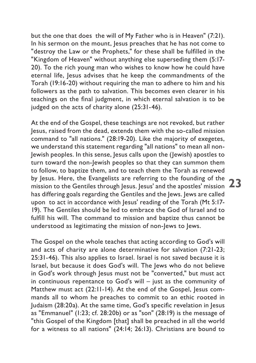but the one that does the will of My Father who is in Heaven" (7:21). In his sermon on the mount, Jesus preaches that he has not come to "destroy the Law or the Prophets," for these shall be fulfilled in the "Kingdom of Heaven" without anything else superseding them (5:17- 20). To the rich young man who wishes to know how he could have eternal life, Jesus advises that he keep the commandments of the Torah (19:16-20) without requiring the man to adhere to him and his followers as the path to salvation. This becomes even clearer in his teachings on the final judgment, in which eternal salvation is to be judged on the acts of charity alone (25:31-46).

by jesus. Here, the Evangelists are referring to the founding of the 23<br>mission to the Gentiles through Jesus. Jesus' and the apostles' mission 23 At the end of the Gospel, these teachings are not revoked, but rather Jesus, raised from the dead, extends them with the so-called mission command to "all nations." (28:19-20). Like the majority of exegetes, we understand this statement regarding "all nations" to mean all non-Jewish peoples. In this sense, Jesus calls upon the (Jewish) apostles to turn toward the non-Jewish peoples so that they can summon them to follow, to baptize them, and to teach them the Torah as renewed by Jesus. Here, the Evangelists are referring to the founding of the has differing goals regarding the Gentiles and the Jews. Jews are called upon to act in accordance with Jesus' reading of the Torah (Mt 5:17-19). The Gentiles should be led to embrace the God of Israel and to fulfill his will. The command to mission and baptize thus cannot be understood as legitimating the mission of non-Jews to Jews.

The Gospel on the whole teaches that acting according to God's will and acts of charity are alone determinative for salvation (7:21-23; 25:31-46). This also applies to Israel. Israel is not saved because it is Israel, but because it does God's will. The Jews who do not believe in God's work through Jesus must not be "converted," but must act in continuous repentance to God's will – just as the community of Matthew must act (22:11-14). At the end of the Gospel, Jesus commands all to whom he preaches to commit to an ethic rooted in Judaism (28:20a). At the same time, God's specific revelation in Jesus as "Emmanuel" (1:23; cf. 28:20b) or as "son" (28:19) is the message of "this Gospel of the Kingdom [that] shall be preached in all the world for a witness to all nations" (24:14; 26:13). Christians are bound to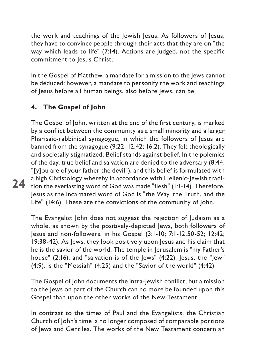<span id="page-23-0"></span>the work and teachings of the Jewish Jesus. As followers of Jesus, they have to convince people through their acts that they are on "the way which leads to life" (7:14). Actions are judged, not the specific commitment to Jesus Christ.

In the Gospel of Matthew, a mandate for a mission to the Jews cannot be deduced; however, a mandate to personify the work and teachings of Jesus before all human beings, also before Jews, can be.

## **4. The Gospel of John**

**24**

The Gospel of John, written at the end of the first century, is marked by a conflict between the community as a small minority and a larger Pharisaic-rabbinical synagogue, in which the followers of Jesus are banned from the synagogue (9:22; 12:42; 16:2). They felt theologically and societally stigmatized. Belief stands against belief. In the polemics of the day, true belief and salvation are denied to the adversary (8:44: "[y]ou are of your father the devil"), and this belief is formulated with a high Christology whereby in accordance with Hellenic-Jewish tradition the everlasting word of God was made "flesh" (1:1-14). Therefore, Jesus as the incarnated word of God is "the Way, the Truth, and the Life" (14:6). These are the convictions of the community of John.

The Evangelist John does not suggest the rejection of Judaism as a whole, as shown by the positively-depicted Jews, both followers of Jesus and non-followers, in his Gospel (3:1-10; 7:1-12.50-52; 12:42; 19:38-42). As Jews, they look positively upon Jesus and his claim that he is the savior of the world. The temple in Jerusalem is "my Father's house" (2:16), and "salvation is of the Jews" (4:22). Jesus, the "Jew" (4:9), is the "Messiah" (4:25) and the "Savior of the world" (4:42).

The Gospel of John documents the intra-Jewish conflict, but a mission to the Jews on part of the Church can no more be founded upon this Gospel than upon the other works of the New Testament.

In contrast to the times of Paul and the Evangelists, the Christian Church of John's time is no longer composed of comparable portions of lews and Gentiles. The works of the New Testament concern an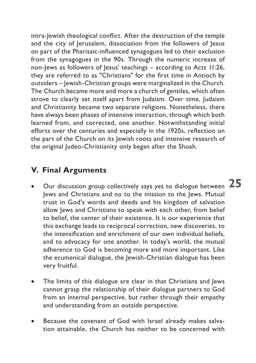<span id="page-24-0"></span>intra-Jewish theological conflict. After the destruction of the temple and the city of Jerusalem, dissociation from the followers of Jesus on part of the Pharisaic-influenced synagogues led to their exclusion from the synagogues in the 90s. Through the numeric increase of non-Jews as followers of Jesus' teachings – according to Acts 11:26, they are referred to as "Christians" for the first time in Antioch by outsiders – Jewish-Christian groups were marginalized in the Church. The Church became more and more a church of gentiles, which often strove to clearly set itself apart from Judaism. Over time, Judaism and Christianity became two separate religions. Nonetheless, there have always been phases of intensive interaction, through which both learned from, and corrected, one another. Notwithstanding initial efforts over the centuries and especially in the 1920s, reflection on the part of the Church on its Jewish roots and intensive research of the original Judeo-Christianity only began after the Shoah.

# **V. Final Arguments**

- $\bullet$   $\;\;$  Our discussion group collectively says yes to dialogue between  ${\bf 25}$ Jews and Christians and no to the mission to the Jews. Mutual trust in God's words and deeds and his kingdom of salvation allow Jews and Christians to speak with each other, from belief to belief, the center of their existence. It is our experience that this exchange leads to reciprocal correction, new discoveries, to the intensification and enrichment of our own individual beliefs, and to advocacy for one another. In today's world, the mutual adherence to God is becoming more and more important. Like the ecumenical dialogue, the Jewish-Christian dialogue has been very fruitful.
- The limits of this dialogue are clear in that Christians and Jews cannot grasp the relationship of their dialogue partners to God from an internal perspective, but rather through their empathy and understanding from an outside perspective.
- Because the covenant of God with Israel already makes salvation attainable, the Church has neither to be concerned with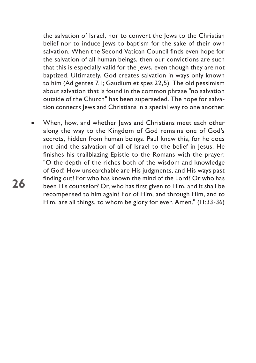the salvation of Israel, nor to convert the Jews to the Christian belief nor to induce lews to baptism for the sake of their own salvation. When the Second Vatican Council finds even hope for the salvation of all human beings, then our convictions are such that this is especially valid for the Jews, even though they are not baptized. Ultimately, God creates salvation in ways only known to him (Ad gentes 7.1; Gaudium et spes 22,5). The old pessimism about salvation that is found in the common phrase "no salvation outside of the Church" has been superseded. The hope for salvation connects Jews and Christians in a special way to one another.

When, how, and whether Jews and Christians meet each other along the way to the Kingdom of God remains one of God's secrets, hidden from human beings. Paul knew this, for he does not bind the salvation of all of Israel to the belief in Jesus. He finishes his trailblazing Epistle to the Romans with the prayer: "O the depth of the riches both of the wisdom and knowledge of God! How unsearchable are His judgments, and His ways past finding out! For who has known the mind of the Lord? Or who has been His counselor? Or, who has first given to Him, and it shall be recompensed to him again? For of Him, and through Him, and to Him, are all things, to whom be glory for ever. Amen." (11:33-36)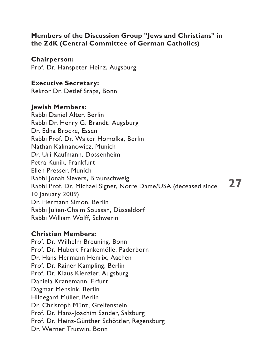#### <span id="page-26-0"></span>**Members of the Discussion Group "Jews and Christians" in the ZdK (Central Committee of German Catholics)**

**Chairperson:**

Prof. Dr. Hanspeter Heinz, Augsburg

#### **Executive Secretary:**

Rektor Dr. Detlef Stäps, Bonn

#### **Jewish Members:**

Rabbi Daniel Alter, Berlin Rabbi Dr. Henry G. Brandt, Augsburg Dr. Edna Brocke, Essen Rabbi Prof. Dr. Walter Homolka, Berlin Nathan Kalmanowicz, Munich Dr. Uri Kaufmann, Dossenheim Petra Kunik, Frankfurt Ellen Presser, Munich Rabbi Jonah Sievers, Braunschweig Rabbi Prof. Dr. Michael Signer, Notre Dame/USA (deceased since 10 January 2009) Dr. Hermann Simon, Berlin Rabbi Julien-Chaim Soussan, Düsseldorf Rabbi William Wolff, Schwerin

#### **Christian Members:**

Prof. Dr. Wilhelm Breuning, Bonn Prof. Dr. Hubert Frankemölle, Paderborn Dr. Hans Hermann Henrix, Aachen Prof. Dr. Rainer Kampling, Berlin Prof. Dr. Klaus Kienzler, Augsburg Daniela Kranemann, Erfurt Dagmar Mensink, Berlin Hildegard Müller, Berlin Dr. Christoph Münz, Greifenstein Prof. Dr. Hans-Joachim Sander, Salzburg Prof. Dr. Heinz-Günther Schöttler, Regensburg Dr. Werner Trutwin, Bonn